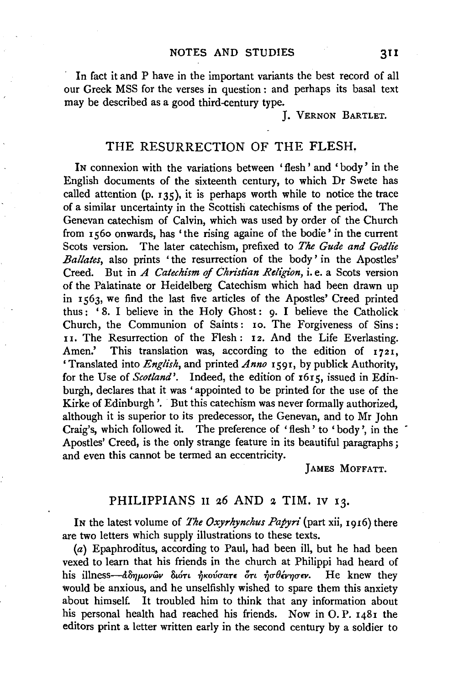In fact it and P have in the important variants the best record of all our Greek MSS for the verses in question : and perhaps its basal text may be described as a good third-century type.

J. VERNON BARTLET.

## THE RESURRECTION OF THE FLESH.

IN connexion with the variations between 'flesh' and 'body' in the English documents of the sixteenth century, to which Dr Swete has called attention (p.  $135$ ), it is perhaps worth while to notice the trace of a similar uncertainty in the Scottish catechisms of the period. The Genevan catechism of Calvin, which was used by order of the Church from 1560 onwards, has 'the rising againe of the bodie' in the current Scots version. The later catechism, prefixed to *The Gude and Godlie Ballates, also prints* 'the resurrection of the body' in the Apostles' Creed. But in *A Catechism* of *Christian Religion,* i. e. a Scots version of the Palatinate or Heidelberg Catechism which had been drawn up in 1563, we find the last five articles of the Apostles' Creed printed thus: '8. I believe in the Holy Ghost: 9. I believe the Catholick Church, the Communion of Saints: 10. The Forgiveness of Sins: 11. The Resurrection of the Flesh: 12. And the Life Everlasting. Amen.' This translation was, according to the edition of 1721, 'Translated into *English,* and printed *Anno* 1591, by publick Authority, for the Use of *Scotland'*. Indeed, the edition of 1615, issued in Edinburgh, declares that it was ' appointed to be printed for the use of the Kirke of Edinburgh'. But this catechism was never formally authorized, although it is superior to its predecessor, the Genevan, and to Mr John Craig's, which followed it. The preference of 'flesh' to 'body', in the Apostles' Creed, is the only strange feature in its beautiful paragraphs ; and even this cannot be termed an eccentricity.

JAMES MOFFATT.

## PHILIPPIANS II 26 AND 2 TIM. IV 13.

IN the latest volume of *The Oxyrhynchus Papyri* (part xii, 1916) there are two letters which supply illustrations to these texts.

(a) Epaphroditus, according to Paul, had been ill, but he had been vexed to learn that his friends in the church at Philippi had heard of his illness- $d\delta\eta\mu\omega\omega\omega$ ν διότι ήκούσατε ότι ήσθένησεν. He knew they would be anxious, and he unselfishly wished to spare them this anxiety about himself. It troubled him to think that any information about his personal health had reached his friends. Now in 0. P. 1481 the editors print a letter written early in the second century by a soldier to